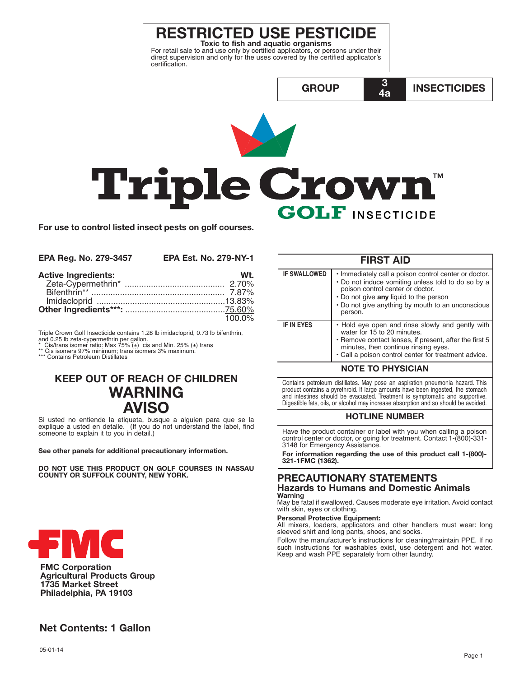# **RESTRICTED USE PESTICIDE**

For retail sale to and use only by certified applicators, or persons under their<br>direct supervision and only for the uses covered by the certified applicator's certification.

**INSECTICIDES GROUP**  $4a$ **Triple Crown TM GOLF INSECTICIDE** 

100.0%

For use to control listed insect pests on golf courses.

| <b>EPA Reg. No. 279-3457</b> | <b>EPA Est. No. 279-NY-1</b> |
|------------------------------|------------------------------|
| <b>Active Ingredients:</b>   | Wt.                          |
|                              |                              |
|                              |                              |
|                              |                              |
|                              |                              |

Triple Crown Golf Insecticide contains 1.28 lb imidacloprid, 0.73 lb bifenthrin, and 0.25 lb zeta-cypermethrin per gallon.<br>\* Cis/trans isomer ratio: Max 75% (±) cis and Min. 25% (±) trans

Cis isomers 97% minimum; trans isomers 3% maximum<br>\* Contains Petroleum Distillates  $***$ 

## **KEEP OUT OF REACH OF CHILDREN WARNING AVISO**

Si usted no entiende la etiqueta, busque a alguien para que se la explique a usted en detaile. (If you do not understand the label, find someone to explain it to you in detail.)

See other panels for additional precautionary information.

DO NOT USE THIS PRODUCT ON GOLF COURSES IN NASSAU COUNTY OR SUFFOLK COUNTY, NEW YORK.



**FMC Corporation Agricultural Products Group** 1735 Market Street Philadelphia, PA 19103

#### **FIRST AID IF SWALLOWED** · Immediately call a poison control center or doctor. • Do not induce vomiting unless told to do so by a poison control center or doctor. . Do not give any liquid to the person • Do not give anything by mouth to an unconscious person. **IF IN EYES** • Hold eye open and rinse slowly and gently with water for 15 to 20 minutes. Remove contact lenses, if present, after the first 5 minutes, then continue rinsing eyes. • Call a poison control center for treatment advice. **NOTE TO PHYSICIAN**

3

Contains petroleum distillates. May pose an aspiration pneumonia hazard. This product contains a pyrethroid. If large amounts have been ingested, the stomach and intestines should be evacuated. Treatment is symptomatic and supportive. Digestible fats, oils, or alcohol may increase absorption and so should be avoided.

### **HOTLINE NUMBER**

Have the product container or label with you when calling a poison control center or doctor, or going for treatment. Contact 1-(800)-331-3148 for Emergency Assistance.

For information regarding the use of this product call 1-(800)-321-1FMC (1362).

## **PRECAUTIONARY STATEMENTS Hazards to Humans and Domestic Animals**

Warning May be fatal if swallowed. Causes moderate eye irritation. Avoid contact with skin, eyes or clothing.

#### **Personal Protective Equipment:**

All mixers, loaders, applicators and other handlers must wear: long sleeved shirt and long pants, shoes, and socks.

Follow the manufacturer's instructions for cleaning/maintain PPE. If no such instructions for washables exist, use detergent and hot water.<br>Keep and wash PPE separately from other laundry.

## **Net Contents: 1 Gallon**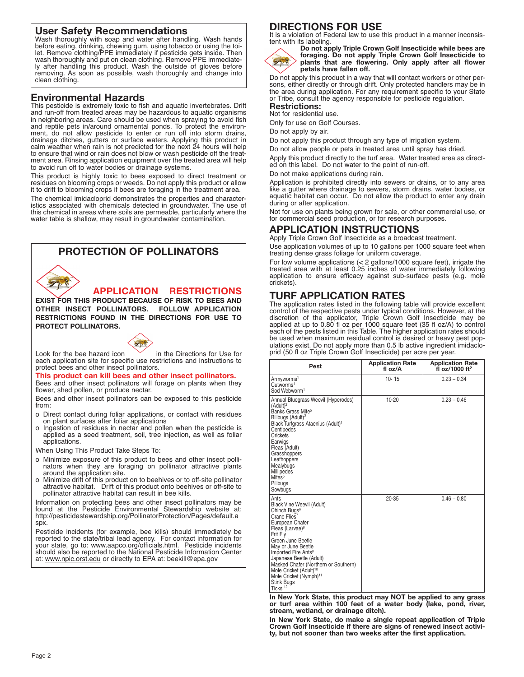**User Safety Recommendations** Wash thoroughly with soap and water after handling. Wash hands before eating, drinking, chewing gum, using tobacco or using the toilet. Remove clothing/PPE immediately if pesticide gets inside. Then wash thoroughly and put on clean clothing. Remove PPE immediately after handling this product. Wash the outside of gloves before removing. As soon as possible, wash thoroughly and change into clean clothing.

## **Environmental Hazards**

This pesticide is extremely toxic to fish and aquatic invertebrates. Drift and run-off from treated areas may be hazardous to aquatic organisms in neighboring areas. Care should be used when spraying to avoid fish and reptile pets in/around ornamental ponds. To protect the environment, do not allow pesticide to enter or run off into storm drains, drainage ditches, gutters or surface waters. Applying this product in calm weather when rain is not predicted for the next 24 hours will help to ensure that wind or rain does not blow or wash pesticide off the treatment area. Rinsing application equipment over the treated area will help to avoid run off to water bodies or drainage systems.

This product is highly toxic to bees exposed to direct treatment or residues on blooming crops or weeds. Do not apply this product or allow it to drift to blooming crops if bees are foraging in the treatment area.

The chemical imidacloprid demonstrates the properties and characteristics associated with chemicals detected in groundwater. The use of this chemical in areas where soils are permeable, particularly where the water table is shallow, may result in groundwater contamination.

## **PROTECTION OF POLLINATORS**

**APPLICATION RESTRICTIONS**

**EXIST FOR THIS PRODUCT BECAUSE OF RISK TO BEES AND OTHER INSECT POLLINATORS. FOLLOW APPLICATION RESTRICTIONS FOUND IN THE DIRECTIONS FOR USE TO PROTECT POLLINATORS.**



Look for the bee hazard icon  $\sim$  in the Directions for Use for each application site for specific use restrictions and instructions to protect bees and other insect pollinators.

#### **This product can kill bees and other insect pollinators.**

Bees and other insect pollinators will forage on plants when they flower, shed pollen, or produce nectar.

Bees and other insect pollinators can be exposed to this pesticide from:

- o Direct contact during foliar applications, or contact with residues on plant surfaces after foliar applications
- o Ingestion of residues in nectar and pollen when the pesticide is applied as a seed treatment, soil, tree injection, as well as foliar applications.

When Using This Product Take Steps To:

- o Minimize exposure of this product to bees and other insect pollinators when they are foraging on pollinator attractive plants around the application site.
- o Minimize drift of this product on to beehives or to off-site pollinator attractive habitat. Drift of this product onto beehives or off-site to pollinator attractive habitat can result in bee kills.

Information on protecting bees and other insect pollinators may be found at the Pesticide Environmental Stewardship website at: http://pesticidestewardship.org/PollinatorProtection/Pages/default.a spx.

Pesticide incidents (for example, bee kills) should immediately be reported to the state/tribal lead agency. For contact information for your state, go to: www.aapco.org/officials.html. Pesticide incidents should also be reported to the National Pesticide Information Center at: www.npic.orst.edu or directly to EPA at: beekill@epa.gov

## **DIRECTIONS FOR USE**

It is a violation of Federal law to use this product in a manner inconsistent with its labeling.



**Do not apply Triple Crown Golf Insecticide while bees are foraging. Do not apply Triple Crown Golf Insecticide to plants that are flowering. Only apply after all flower petals have fallen off.**

Do not apply this product in a way that will contact workers or other persons, either directly or through drift. Only protected handlers may be in the area during application. For any requirement specific to your State or Tribe, consult the agency responsible for pesticide regulation.

### **Restrictions:**

Not for residential use. Only for use on Golf Courses.

Do not apply by air.

Do not apply this product through any type of irrigation system.

Do not allow people or pets in treated area until spray has dried.

Apply this product directly to the turf area. Water treated area as directed on this label. Do not water to the point of run-off.

Do not make applications during rain.

Application is prohibited directly into sewers or drains, or to any area like a gutter where drainage to sewers, storm drains, water bodies, or aquatic habitat can occur. Do not allow the product to enter any drain during or after application.

Not for use on plants being grown for sale, or other commercial use, or for commercial seed production, or for research purposes.

## **APPLICATION INSTRUCTIONS**

Apply Triple Crown Golf Insecticide as a broadcast treatment.

Use application volumes of up to 10 gallons per 1000 square feet when treating dense grass foliage for uniform coverage.

For low volume applications (< 2 gallons/1000 square feet), irrigate the treated area with at least 0.25 inches of water immediately following application to ensure efficacy against sub-surface pests (e.g. mole crickets).

## **TURF APPLICATION RATES**

The application rates listed in the following table will provide excellent control of the respective pests under typical conditions. However, at the discretion of the applicator, Triple Crown Golf Insecticide may be applied at up to 0.80 fl oz per 1000 square feet (35 fl oz/A) to control each of the pests listed in this Table. The higher application rates should be used when maximum residual control is desired or heavy pest populations exist. Do not apply more than 0.5 lb active ingredient imidacloprid (50 fl oz Triple Crown Golf Insecticide) per acre per year.

| Pest                                                                                                                                                                                                                                                                                                                                                                                                                      | <b>Application Rate</b><br>fl oz/A | <b>Application Rate</b><br>fl $oz/1000$ ft <sup>2</sup> |
|---------------------------------------------------------------------------------------------------------------------------------------------------------------------------------------------------------------------------------------------------------------------------------------------------------------------------------------------------------------------------------------------------------------------------|------------------------------------|---------------------------------------------------------|
| Armyworms <sup>1</sup><br>Cutworms <sup>1</sup><br>Sod Webworm <sup>1</sup>                                                                                                                                                                                                                                                                                                                                               | $10 - 15$                          | $0.23 - 0.34$                                           |
| Annual Bluegrass Weevil (Hyperodes)<br>(Adult) <sup>2</sup><br>Banks Grass Mite <sup>5</sup><br>Billbugs (Adult) <sup>3</sup><br>Black Turfgrass Ataenius (Adult) <sup>4</sup><br>Centipedes<br>Crickets<br>Earwigs<br>Fleas (Adult)<br>Grasshoppers<br>Leafhoppers<br>Mealybugs<br>Millipedes<br>Mites <sup>5</sup><br>Pillbugs<br>Sowbugs                                                                               | $10 - 20$                          | $0.23 - 0.46$                                           |
| Ants<br>Black Vine Weevil (Adult)<br>Chinch Bugs <sup>6</sup><br>Crane Flies <sup>7</sup><br>European Chafer<br>Fleas (Larvae) <sup>8</sup><br>Frit Fly<br>Green June Beetle<br>May or June Beetle<br>Imported Fire Ants <sup>9</sup><br>Japanese Beetle (Adult)<br>Masked Chafer (Northern or Southern)<br>Mole Cricket (Adult) <sup>10</sup><br>Mole Cricket (Nymph) <sup>11</sup><br>Stink Bugs<br>Ticks <sup>12</sup> | $20 - 35$                          | $0.46 - 0.80$                                           |

**In New York State, this product may NOT be applied to any grass or turf area within 100 feet of a water body (lake, pond, river, stream, wetland, or drainage ditch).**

**In New York State, do make a single repeat application of Triple Crown Golf Insecticide if there are signs of renewed insect activity, but not sooner than two weeks after the first application.**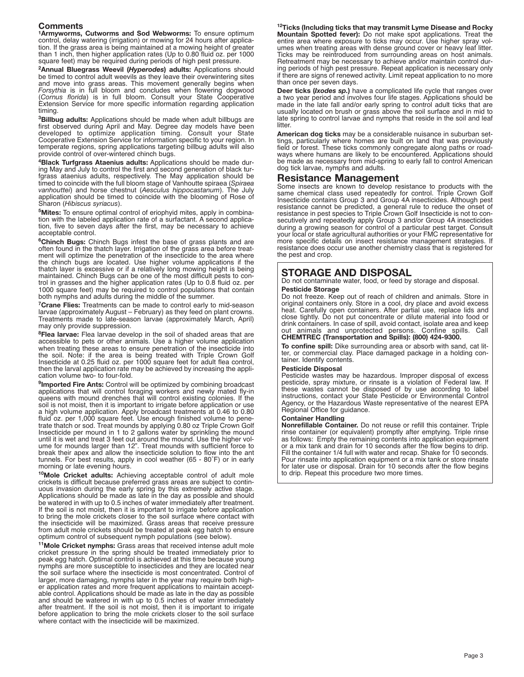**Comments 1Armyworms, Cutworms and Sod Webworms:** To ensure optimum control, delay watering (irrigation) or mowing for 24 hours after application. If the grass area is being maintained at a mowing height of greater than 1 inch, then higher application rates (Up to 0.80 fluid oz. per 1000 square feet) may be required during periods of high pest pressure.

**2Annual Bluegrass Weevil (***Hyperodes***) adults:** Applications should be timed to control adult weevils as they leave their overwintering sites and move into grass areas. This movement generally begins when *Forsythia* is in full bloom and concludes when flowering dogwood (*Cornus florida*) is in full bloom. Consult your State Cooperative Extension Service for more specific information regarding application timing.

**3Billbug adults:** Applications should be made when adult billbugs are first observed during April and May. Degree day models have been developed to optimize application timing. Consult your State Cooperative Extension Service for information specific to your region. In temperate regions, spring applications targeting billbug adults will also provide control of over-wintered chinch bugs.

**4Black Turfgrass Ataenius adults:** Applications should be made during May and July to control the first and second generation of black turfgrass ataenius adults, respectively. The May application should be<br>timed to coincide with the full bloom stage of Vanhoutte spiraea (S*piraea*<br>*vanhouttei*) and horse chestnut (*Aesculus hippocastanum*). The July application should be timed to coincide with the blooming of Rose of Sharon (*Hibiscus syriacus*).

**5Mites:** To ensure optimal control of eriophyid mites, apply in combination with the labeled application rate of a surfactant. A second application, five to seven days after the first, may be necessary to achieve acceptable control.

**6Chinch Bugs:** Chinch Bugs infest the base of grass plants and are often found in the thatch layer. Irrigation of the grass area before treatment will optimize the penetration of the insecticide to the area where the chinch bugs are located. Use higher volume applications if the thatch layer is excessive or if a relatively long mowing height is being maintained. Chinch Bugs can be one of the most difficult pests to control in grasses and the higher application rates (Up to 0.8 fluid oz. per 1000 square feet) may be required to control populations that contain both nymphs and adults during the middle of the summer.

**7Crane Flies:** Treatments can be made to control early to mid-season larvae (approximately August – February) as they feed on plant crowns. Treatments made to late-season larvae (approximately March, April) may only provide suppression.

**8Flea larvae:** Flea larvae develop in the soil of shaded areas that are accessible to pets or other animals. Use a higher volume application when treating these areas to ensure penetration of the insecticide into the soil. Note: if the area is being treated with Triple Crown Golf Insecticide at 0.25 fluid oz. per 1000 square feet for adult flea control, then the larval application rate may be achieved by increasing the application volume two- to four-fold.

**9Imported Fire Ants:** Control will be optimized by combining broadcast applications that will control foraging workers and newly mated fly-in queens with mound drenches that will control existing colonies. If the soil is not moist, then it is important to irrigate before application or use a high volume application. Apply broadcast treatments at 0.46 to 0.80 fluid oz. per 1,000 square feet. Use enough finished volume to penetrate thatch or sod. Treat mounds by applying 0.80 oz Triple Crown Golf Insecticide per mound in 1 to 2 gallons water by sprinkling the mound until it is wet and treat 3 feet out around the mound. Use the higher volume for mounds larger than 12". Treat mounds with sufficient force to break their apex and allow the insecticide solution to flow into the ant tunnels. For best results, apply in cool weather (65 - 80˚F) or in early morning or late evening hours.

**10Mole Cricket adults:** Achieving acceptable control of adult mole crickets is difficult because preferred grass areas are subject to continuous invasion during the early spring by this extremely active stage. Applications should be made as late in the day as possible and should be watered in with up to 0.5 inches of water immediately after treatment. If the soil is not moist, then it is important to irrigate before application to bring the mole crickets closer to the soil surface where contact with the insecticide will be maximized. Grass areas that receive pressure from adult mole crickets should be treated at peak egg hatch to ensure optimum control of subsequent nymph populations (see below).

**11Mole Cricket nymphs:** Grass areas that received intense adult mole cricket pressure in the spring should be treated immediately prior to peak egg hatch. Optimal control is achieved at this time because young nymphs are more susceptible to insecticides and they are located near the soil surface where the insecticide is most concentrated. Control of larger, more damaging, nymphs later in the year may require both higher application rates and more frequent applications to maintain acceptable control. Applications should be made as late in the day as possible and should be watered in with up to 0.5 inches of water immediately after treatment. If the soil is not moist, then it is important to irrigate before application to bring the mole crickets closer to the soil surface where contact with the insecticide will be maximized.

**12Ticks (Including ticks that may transmit Lyme Disease and Rocky Mountain Spotted fever):** Do not make spot applications. Treat the entire area where exposure to ticks may occur. Use higher spray volumes when treating areas with dense ground cover or heavy leaf litter. Ticks may be reintroduced from surrounding areas on host animals. Retreatment may be necessary to achieve and/or maintain control during periods of high pest pressure. Repeat application is necessary only if there are signs of renewed activity. Limit repeat application to no more than once per seven days.

**Deer ticks (***Ixodes sp.***)** have a complicated life cycle that ranges over a two year period and involves four life stages. Applications should be made in the late fall and/or early spring to control adult ticks that are usually located on brush or grass above the soil surface and in mid to late spring to control larvae and nymphs that reside in the soil and leaf litter.

**American dog ticks** may be a considerable nuisance in suburban settings, particularly where homes are built on land that was previously field or forest. These ticks commonly congregate along paths or roadways where humans are likely to be encountered. Applications should be made as necessary from mid-spring to early fall to control American dog tick larvae, nymphs and adults.

### **Resistance Management**

Some insects are known to develop resistance to products with the same chemical class used repeatedly for control. Triple Crown Golf Insecticide contains Group 3 and Group 4A insecticides. Although pest resistance cannot be predicted, a general rule to reduce the onset of resistance in pest species to Triple Crown Golf Insecticide is not to consecutively and repeatedly apply Group 3 and/or Group 4A insecticides during a growing season for control of a particular pest target. Consult your local or state agricultural authorities or your FMC representative for more specific details on insect resistance management strategies. If resistance does occur use another chemistry class that is registered for the pest and crop.

## **STORAGE AND DISPOSAL**

Do not contaminate water, food, or feed by storage and disposal. **Pesticide Storage**

Do not freeze. Keep out of reach of children and animals. Store in original containers only. Store in a cool, dry place and avoid excess heat. Carefully open containers. After partial use, replace lids and close tightly. Do not put concentrate or dilute material into food or drink containers. In case of spill, avoid contact, isolate area and keep out animals and unprotected persons. Confine spills. Call **CHEMTREC (Transportation and Spills): (800) 424-9300.**

**To confine spill:** Dike surrounding area or absorb with sand, cat litter, or commercial clay. Place damaged package in a holding container. Identify contents.

#### **Pesticide Disposal**

Pesticide wastes may be hazardous. Improper disposal of excess pesticide, spray mixture, or rinsate is a violation of Federal law. If these wastes cannot be disposed of by use according to label instructions, contact your State Pesticide or Environmental Control Agency, or the Hazardous Waste representative of the nearest EPA Regional Office for guidance.

#### **Container Handling**

**Nonrefillable Container.** Do not reuse or refill this container. Triple rinse container (or equivalent) promptly after emptying. Triple rinse as follows: Empty the remaining contents into application equipment or a mix tank and drain for 10 seconds after the flow begins to drip. Fill the container  $1/4$  full with water and recap. Shake for  $10$  seconds. Pour rinsate into application equipment or a mix tank or store rinsate for later use or disposal. Drain for 10 seconds after the flow begins to drip. Repeat this procedure two more times.